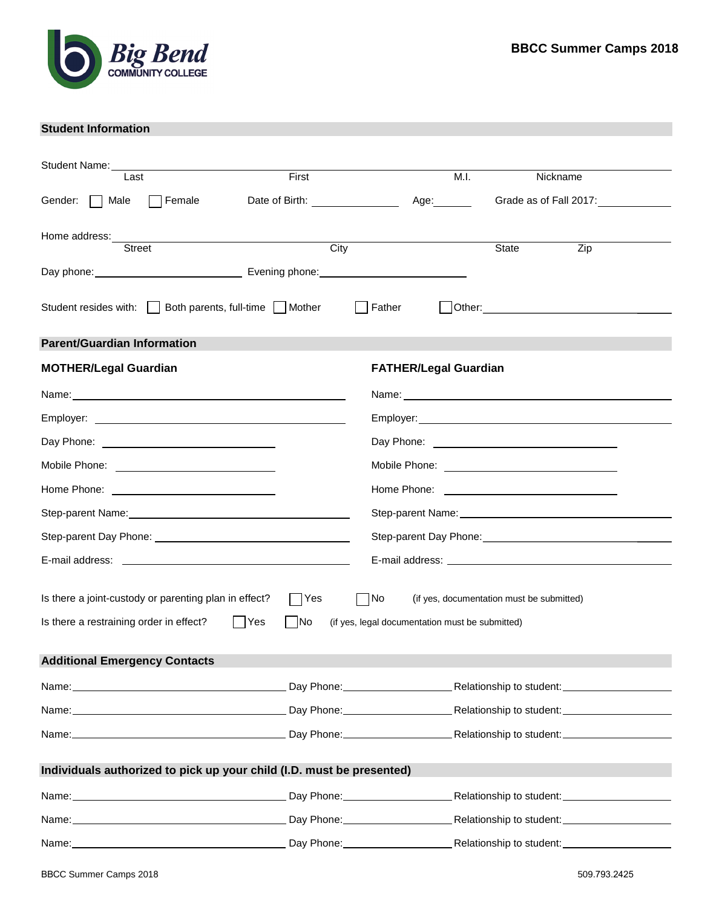

# **Student Information**

| Student Name:                                                                                                                                                                                                                  |                                  |                                                 |                                                      |
|--------------------------------------------------------------------------------------------------------------------------------------------------------------------------------------------------------------------------------|----------------------------------|-------------------------------------------------|------------------------------------------------------|
| Last                                                                                                                                                                                                                           | First                            | M.I.                                            | Nickname                                             |
| Female<br>Male<br>Gender:                                                                                                                                                                                                      | Date of Birth: _________________ | Age:_______                                     | Grade as of Fall 201 :                               |
| Home address:                                                                                                                                                                                                                  |                                  |                                                 |                                                      |
| <b>Street</b>                                                                                                                                                                                                                  | $\overline{City}$                |                                                 | <b>State</b><br>$\overline{Zip}$                     |
|                                                                                                                                                                                                                                |                                  |                                                 |                                                      |
|                                                                                                                                                                                                                                |                                  |                                                 |                                                      |
| Student resides with: Both parents, full-time Mother                                                                                                                                                                           |                                  | Father                                          |                                                      |
| <b>Parent/Guardian Information</b>                                                                                                                                                                                             |                                  |                                                 |                                                      |
| <b>MOTHER/Legal Guardian</b>                                                                                                                                                                                                   |                                  | <b>FATHER/Legal Guardian</b>                    |                                                      |
|                                                                                                                                                                                                                                |                                  |                                                 |                                                      |
|                                                                                                                                                                                                                                |                                  |                                                 |                                                      |
|                                                                                                                                                                                                                                |                                  |                                                 |                                                      |
| Mobile Phone: <u>___________________________</u>                                                                                                                                                                               |                                  |                                                 | Mobile Phone: <u>_______________________________</u> |
|                                                                                                                                                                                                                                |                                  |                                                 |                                                      |
| Step-parent Name: Monthlying the Contract of the Contract of the Contract of the Contract of the Contract of the Contract of the Contract of the Contract of the Contract of the Contract of the Contract of the Contract of t |                                  |                                                 |                                                      |
|                                                                                                                                                                                                                                |                                  |                                                 |                                                      |
|                                                                                                                                                                                                                                |                                  |                                                 |                                                      |
|                                                                                                                                                                                                                                |                                  |                                                 |                                                      |
| Is there a joint-custody or parenting plan in effect?                                                                                                                                                                          | Yes                              | No                                              | (if yes, documentation must be submitted)            |
| Is there a restraining order in effect?                                                                                                                                                                                        | Yes<br> No                       | (if yes, legal documentation must be submitted) |                                                      |
| <b>Additional Emergency Contacts</b>                                                                                                                                                                                           |                                  |                                                 |                                                      |
|                                                                                                                                                                                                                                |                                  |                                                 |                                                      |
|                                                                                                                                                                                                                                |                                  |                                                 |                                                      |
|                                                                                                                                                                                                                                |                                  |                                                 |                                                      |
|                                                                                                                                                                                                                                |                                  |                                                 |                                                      |
| Individuals authorized to pick up your child (I.D. must be presented)                                                                                                                                                          |                                  |                                                 |                                                      |
| Name: Mame: Mame: Mame: Mame: Mame: Mame: Mame: Mame: Mame: Mame: Mame: Mame: Mame: Mame: Mame: Mame: Mame: Mame: Mame: Mame: Mame: Mame: Mame: Mame: Mame: Mame: Mame: Mame: Mame: Mame: Mame: Mame: Mame: Mame: Mame: Mame:  |                                  |                                                 |                                                      |
|                                                                                                                                                                                                                                |                                  |                                                 |                                                      |
| Name: Mame: Mame: Mame: Mame: Mame: Mame: Mame: Mame: Mame: Mame: Mame: Mame: Mame: Mame: Mame: Mame: Mame: Mame: Mame: Mame: Mame: Mame: Mame: Mame: Mame: Mame: Mame: Mame: Mame: Mame: Mame: Mame: Mame: Mame: Mame: Mame:  |                                  |                                                 |                                                      |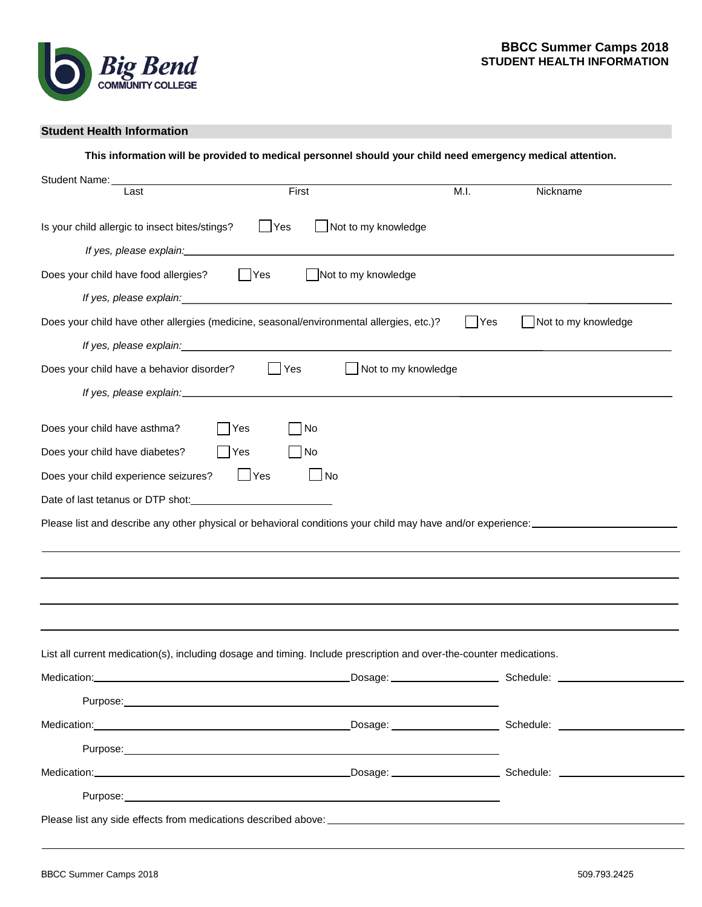

## **Student Health Information**

| Last                                                                                                                | First                                                                                                                                                                                                                          | M.I.<br>Nickname                                                                                                                        |
|---------------------------------------------------------------------------------------------------------------------|--------------------------------------------------------------------------------------------------------------------------------------------------------------------------------------------------------------------------------|-----------------------------------------------------------------------------------------------------------------------------------------|
| Is your child allergic to insect bites/stings?                                                                      | Not to my knowledge<br>$\Box$ Yes                                                                                                                                                                                              |                                                                                                                                         |
|                                                                                                                     | If yes, please explain: example and a set of the set of the set of the set of the set of the set of the set of the set of the set of the set of the set of the set of the set of the set of the set of the set of the set of t |                                                                                                                                         |
| Does your child have food allergies?                                                                                | Not to my knowledge<br> Yes                                                                                                                                                                                                    |                                                                                                                                         |
|                                                                                                                     | If yes, please explain: <i>if</i> yes, please explain:                                                                                                                                                                         |                                                                                                                                         |
|                                                                                                                     | Does your child have other allergies (medicine, seasonal/environmental allergies, etc.)?                                                                                                                                       | <b>Yes</b><br>Not to my knowledge                                                                                                       |
|                                                                                                                     | If yes, please explain: example and the set of the set of the set of the set of the set of the set of the set of the set of the set of the set of the set of the set of the set of the set of the set of the set of the set of |                                                                                                                                         |
| Does your child have a behavior disorder?                                                                           | Yes                                                                                                                                                                                                                            | $\Box$ Not to my knowledge                                                                                                              |
|                                                                                                                     |                                                                                                                                                                                                                                |                                                                                                                                         |
| Does your child have asthma?                                                                                        | No<br>Yes                                                                                                                                                                                                                      |                                                                                                                                         |
| Does your child have diabetes?                                                                                      | Yes<br>No                                                                                                                                                                                                                      |                                                                                                                                         |
| Does your child experience seizures?                                                                                | $\Box$ Yes<br>No                                                                                                                                                                                                               |                                                                                                                                         |
|                                                                                                                     |                                                                                                                                                                                                                                |                                                                                                                                         |
|                                                                                                                     |                                                                                                                                                                                                                                |                                                                                                                                         |
|                                                                                                                     |                                                                                                                                                                                                                                | Please list and describe any other physical or behavioral conditions your child may have and/or experience: ___________________________ |
|                                                                                                                     |                                                                                                                                                                                                                                |                                                                                                                                         |
|                                                                                                                     |                                                                                                                                                                                                                                |                                                                                                                                         |
|                                                                                                                     |                                                                                                                                                                                                                                |                                                                                                                                         |
|                                                                                                                     |                                                                                                                                                                                                                                |                                                                                                                                         |
|                                                                                                                     |                                                                                                                                                                                                                                |                                                                                                                                         |
|                                                                                                                     |                                                                                                                                                                                                                                |                                                                                                                                         |
|                                                                                                                     |                                                                                                                                                                                                                                |                                                                                                                                         |
|                                                                                                                     |                                                                                                                                                                                                                                |                                                                                                                                         |
| List all current medication(s), including dosage and timing. Include prescription and over-the-counter medications. |                                                                                                                                                                                                                                |                                                                                                                                         |
|                                                                                                                     |                                                                                                                                                                                                                                |                                                                                                                                         |
|                                                                                                                     |                                                                                                                                                                                                                                |                                                                                                                                         |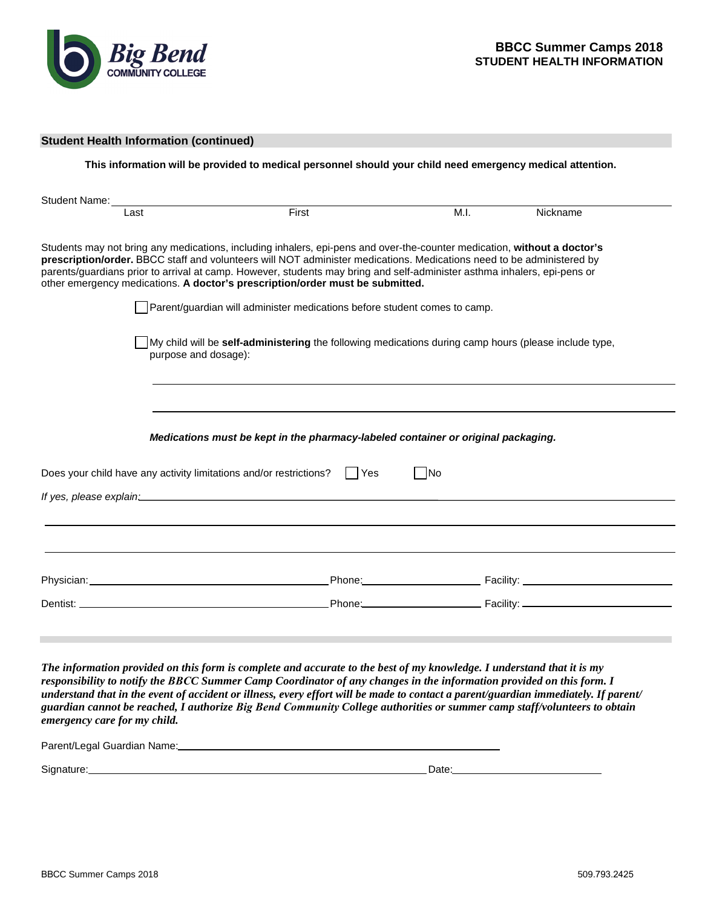

|                                                                                                                                                                                                                                                                                                                                                                                                                                                                | This information will be provided to medical personnel should your child need emergency medical attention. |           |          |
|----------------------------------------------------------------------------------------------------------------------------------------------------------------------------------------------------------------------------------------------------------------------------------------------------------------------------------------------------------------------------------------------------------------------------------------------------------------|------------------------------------------------------------------------------------------------------------|-----------|----------|
| Student Name:                                                                                                                                                                                                                                                                                                                                                                                                                                                  |                                                                                                            |           |          |
| Last                                                                                                                                                                                                                                                                                                                                                                                                                                                           | First                                                                                                      | M.I.      | Nickname |
| Students may not bring any medications, including inhalers, epi-pens and over-the-counter medication, without a doctor's<br>prescription/order. BBCC staff and volunteers will NOT administer medications. Medications need to be administered by<br>parents/guardians prior to arrival at camp. However, students may bring and self-administer asthma inhalers, epi-pens or<br>other emergency medications. A doctor's prescription/order must be submitted. |                                                                                                            |           |          |
|                                                                                                                                                                                                                                                                                                                                                                                                                                                                | Parent/guardian will administer medications before student comes to camp.                                  |           |          |
| purpose and dosage):                                                                                                                                                                                                                                                                                                                                                                                                                                           | My child will be self-administering the following medications during camp hours (please include type,      |           |          |
|                                                                                                                                                                                                                                                                                                                                                                                                                                                                |                                                                                                            |           |          |
|                                                                                                                                                                                                                                                                                                                                                                                                                                                                |                                                                                                            |           |          |
|                                                                                                                                                                                                                                                                                                                                                                                                                                                                | Medications must be kept in the pharmacy-labeled container or original packaging.                          |           |          |
| Does your child have any activity limitations and/or restrictions?                                                                                                                                                                                                                                                                                                                                                                                             | l lYes                                                                                                     | $\neg$ No |          |
| If yes, please explain:_____                                                                                                                                                                                                                                                                                                                                                                                                                                   |                                                                                                            |           |          |
|                                                                                                                                                                                                                                                                                                                                                                                                                                                                |                                                                                                            |           |          |
|                                                                                                                                                                                                                                                                                                                                                                                                                                                                |                                                                                                            |           |          |
|                                                                                                                                                                                                                                                                                                                                                                                                                                                                |                                                                                                            |           |          |
|                                                                                                                                                                                                                                                                                                                                                                                                                                                                |                                                                                                            |           |          |
|                                                                                                                                                                                                                                                                                                                                                                                                                                                                |                                                                                                            |           |          |
|                                                                                                                                                                                                                                                                                                                                                                                                                                                                |                                                                                                            |           |          |

Parent/Legal Guardian Name:

| Signature: | Date: |
|------------|-------|
|            |       |

*emergency care for my child.*